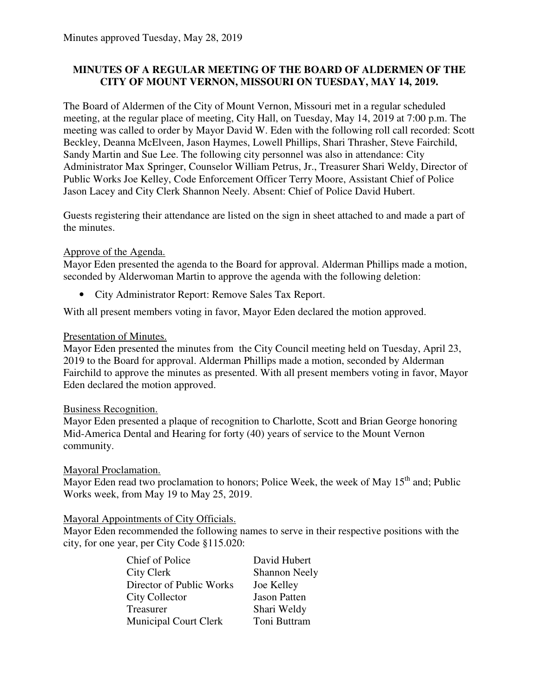## **MINUTES OF A REGULAR MEETING OF THE BOARD OF ALDERMEN OF THE CITY OF MOUNT VERNON, MISSOURI ON TUESDAY, MAY 14, 2019.**

The Board of Aldermen of the City of Mount Vernon, Missouri met in a regular scheduled meeting, at the regular place of meeting, City Hall, on Tuesday, May 14, 2019 at 7:00 p.m. The meeting was called to order by Mayor David W. Eden with the following roll call recorded: Scott Beckley, Deanna McElveen, Jason Haymes, Lowell Phillips, Shari Thrasher, Steve Fairchild, Sandy Martin and Sue Lee. The following city personnel was also in attendance: City Administrator Max Springer, Counselor William Petrus, Jr., Treasurer Shari Weldy, Director of Public Works Joe Kelley, Code Enforcement Officer Terry Moore, Assistant Chief of Police Jason Lacey and City Clerk Shannon Neely. Absent: Chief of Police David Hubert.

Guests registering their attendance are listed on the sign in sheet attached to and made a part of the minutes.

## Approve of the Agenda.

Mayor Eden presented the agenda to the Board for approval. Alderman Phillips made a motion, seconded by Alderwoman Martin to approve the agenda with the following deletion:

• City Administrator Report: Remove Sales Tax Report.

With all present members voting in favor, Mayor Eden declared the motion approved.

### Presentation of Minutes.

Mayor Eden presented the minutes from the City Council meeting held on Tuesday, April 23, 2019 to the Board for approval. Alderman Phillips made a motion, seconded by Alderman Fairchild to approve the minutes as presented. With all present members voting in favor, Mayor Eden declared the motion approved.

### Business Recognition.

Mayor Eden presented a plaque of recognition to Charlotte, Scott and Brian George honoring Mid-America Dental and Hearing for forty (40) years of service to the Mount Vernon community.

### Mayoral Proclamation.

Mayor Eden read two proclamation to honors; Police Week, the week of May  $15<sup>th</sup>$  and; Public Works week, from May 19 to May 25, 2019.

### Mayoral Appointments of City Officials.

Mayor Eden recommended the following names to serve in their respective positions with the city, for one year, per City Code §115.020:

| <b>Chief of Police</b>       | David Hubert         |
|------------------------------|----------------------|
| City Clerk                   | <b>Shannon Neely</b> |
| Director of Public Works     | Joe Kelley           |
| City Collector               | <b>Jason Patten</b>  |
| Treasurer                    | Shari Weldy          |
| <b>Municipal Court Clerk</b> | Toni Buttram         |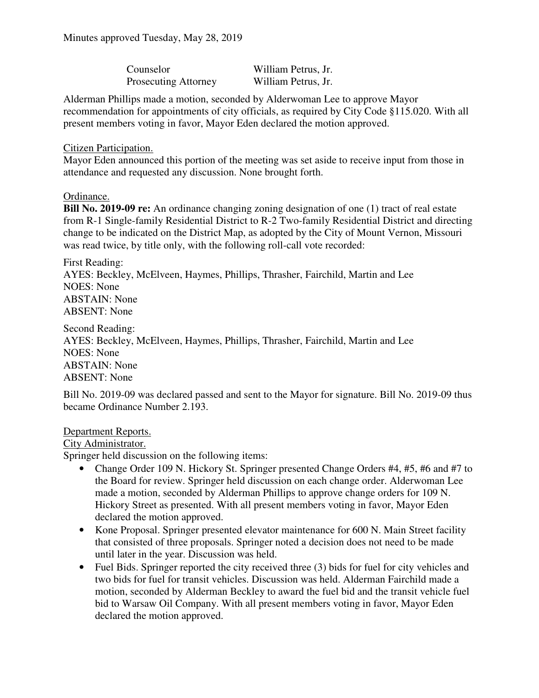| Counselor                   | William Petrus, Jr. |
|-----------------------------|---------------------|
| <b>Prosecuting Attorney</b> | William Petrus, Jr. |

Alderman Phillips made a motion, seconded by Alderwoman Lee to approve Mayor recommendation for appointments of city officials, as required by City Code §115.020. With all present members voting in favor, Mayor Eden declared the motion approved.

### Citizen Participation.

Mayor Eden announced this portion of the meeting was set aside to receive input from those in attendance and requested any discussion. None brought forth.

### Ordinance.

**Bill No. 2019-09 re:** An ordinance changing zoning designation of one (1) tract of real estate from R-1 Single-family Residential District to R-2 Two-family Residential District and directing change to be indicated on the District Map, as adopted by the City of Mount Vernon, Missouri was read twice, by title only, with the following roll-call vote recorded:

First Reading: AYES: Beckley, McElveen, Haymes, Phillips, Thrasher, Fairchild, Martin and Lee NOES: None ABSTAIN: None ABSENT: None

Second Reading:

AYES: Beckley, McElveen, Haymes, Phillips, Thrasher, Fairchild, Martin and Lee NOES: None ABSTAIN: None ABSENT: None

Bill No. 2019-09 was declared passed and sent to the Mayor for signature. Bill No. 2019-09 thus became Ordinance Number 2.193.

Department Reports.

City Administrator.

Springer held discussion on the following items:

- Change Order 109 N. Hickory St. Springer presented Change Orders #4, #5, #6 and #7 to the Board for review. Springer held discussion on each change order. Alderwoman Lee made a motion, seconded by Alderman Phillips to approve change orders for 109 N. Hickory Street as presented. With all present members voting in favor, Mayor Eden declared the motion approved.
- Kone Proposal. Springer presented elevator maintenance for 600 N. Main Street facility that consisted of three proposals. Springer noted a decision does not need to be made until later in the year. Discussion was held.
- Fuel Bids. Springer reported the city received three (3) bids for fuel for city vehicles and two bids for fuel for transit vehicles. Discussion was held. Alderman Fairchild made a motion, seconded by Alderman Beckley to award the fuel bid and the transit vehicle fuel bid to Warsaw Oil Company. With all present members voting in favor, Mayor Eden declared the motion approved.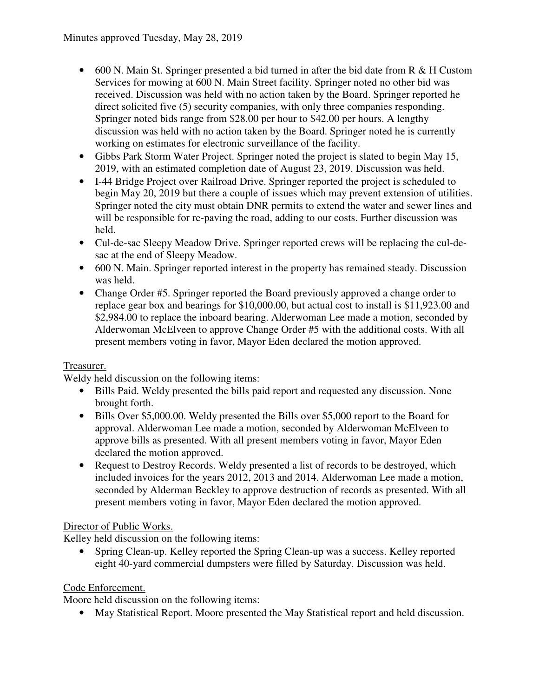- 600 N. Main St. Springer presented a bid turned in after the bid date from R & H Custom Services for mowing at 600 N. Main Street facility. Springer noted no other bid was received. Discussion was held with no action taken by the Board. Springer reported he direct solicited five (5) security companies, with only three companies responding. Springer noted bids range from \$28.00 per hour to \$42.00 per hours. A lengthy discussion was held with no action taken by the Board. Springer noted he is currently working on estimates for electronic surveillance of the facility.
- Gibbs Park Storm Water Project. Springer noted the project is slated to begin May 15, 2019, with an estimated completion date of August 23, 2019. Discussion was held.
- I-44 Bridge Project over Railroad Drive. Springer reported the project is scheduled to begin May 20, 2019 but there a couple of issues which may prevent extension of utilities. Springer noted the city must obtain DNR permits to extend the water and sewer lines and will be responsible for re-paving the road, adding to our costs. Further discussion was held.
- Cul-de-sac Sleepy Meadow Drive. Springer reported crews will be replacing the cul-desac at the end of Sleepy Meadow.
- 600 N. Main. Springer reported interest in the property has remained steady. Discussion was held.
- Change Order #5. Springer reported the Board previously approved a change order to replace gear box and bearings for \$10,000.00, but actual cost to install is \$11,923.00 and \$2,984.00 to replace the inboard bearing. Alderwoman Lee made a motion, seconded by Alderwoman McElveen to approve Change Order #5 with the additional costs. With all present members voting in favor, Mayor Eden declared the motion approved.

# Treasurer.

Weldy held discussion on the following items:

- Bills Paid. Weldy presented the bills paid report and requested any discussion. None brought forth.
- Bills Over \$5,000.00. Weldy presented the Bills over \$5,000 report to the Board for approval. Alderwoman Lee made a motion, seconded by Alderwoman McElveen to approve bills as presented. With all present members voting in favor, Mayor Eden declared the motion approved.
- Request to Destroy Records. Weldy presented a list of records to be destroyed, which included invoices for the years 2012, 2013 and 2014. Alderwoman Lee made a motion, seconded by Alderman Beckley to approve destruction of records as presented. With all present members voting in favor, Mayor Eden declared the motion approved.

# Director of Public Works.

Kelley held discussion on the following items:

• Spring Clean-up. Kelley reported the Spring Clean-up was a success. Kelley reported eight 40-yard commercial dumpsters were filled by Saturday. Discussion was held.

## Code Enforcement.

Moore held discussion on the following items:

• May Statistical Report. Moore presented the May Statistical report and held discussion.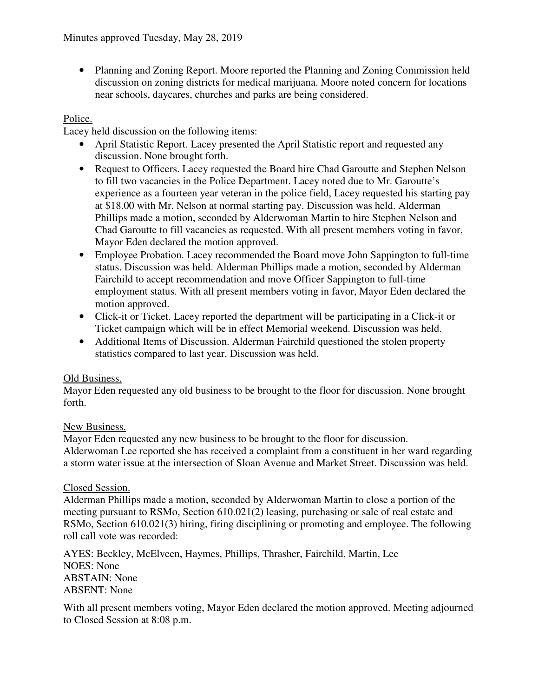• Planning and Zoning Report. Moore reported the Planning and Zoning Commission held discussion on zoning districts for medical marijuana. Moore noted concern for locations near schools, daycares, churches and parks are being considered.

## Police.

Lacey held discussion on the following items:

- April Statistic Report. Lacey presented the April Statistic report and requested any discussion. None brought forth.
- Request to Officers. Lacey requested the Board hire Chad Garoutte and Stephen Nelson to fill two vacancies in the Police Department. Lacey noted due to Mr. Garoutte's experience as a fourteen year veteran in the police field, Lacey requested his starting pay at \$18.00 with Mr. Nelson at normal starting pay. Discussion was held. Alderman Phillips made a motion, seconded by Alderwoman Martin to hire Stephen Nelson and Chad Garoutte to fill vacancies as requested. With all present members voting in favor, Mayor Eden declared the motion approved.
- Employee Probation. Lacey recommended the Board move John Sappington to full-time status. Discussion was held. Alderman Phillips made a motion, seconded by Alderman Fairchild to accept recommendation and move Officer Sappington to full-time employment status. With all present members voting in favor, Mayor Eden declared the motion approved.
- Click-it or Ticket. Lacey reported the department will be participating in a Click-it or Ticket campaign which will be in effect Memorial weekend. Discussion was held.
- Additional Items of Discussion. Alderman Fairchild questioned the stolen property statistics compared to last year. Discussion was held.

## Old Business.

Mayor Eden requested any old business to be brought to the floor for discussion. None brought forth.

## New Business.

Mayor Eden requested any new business to be brought to the floor for discussion. Alderwoman Lee reported she has received a complaint from a constituent in her ward regarding a storm water issue at the intersection of Sloan Avenue and Market Street. Discussion was held.

## Closed Session.

Alderman Phillips made a motion, seconded by Alderwoman Martin to close a portion of the meeting pursuant to RSMo, Section 610.021(2) leasing, purchasing or sale of real estate and RSMo, Section 610.021(3) hiring, firing disciplining or promoting and employee. The following roll call vote was recorded:

AYES: Beckley, McElveen, Haymes, Phillips, Thrasher, Fairchild, Martin, Lee NOES: None ABSTAIN: None ABSENT: None

With all present members voting, Mayor Eden declared the motion approved. Meeting adjourned to Closed Session at 8:08 p.m.